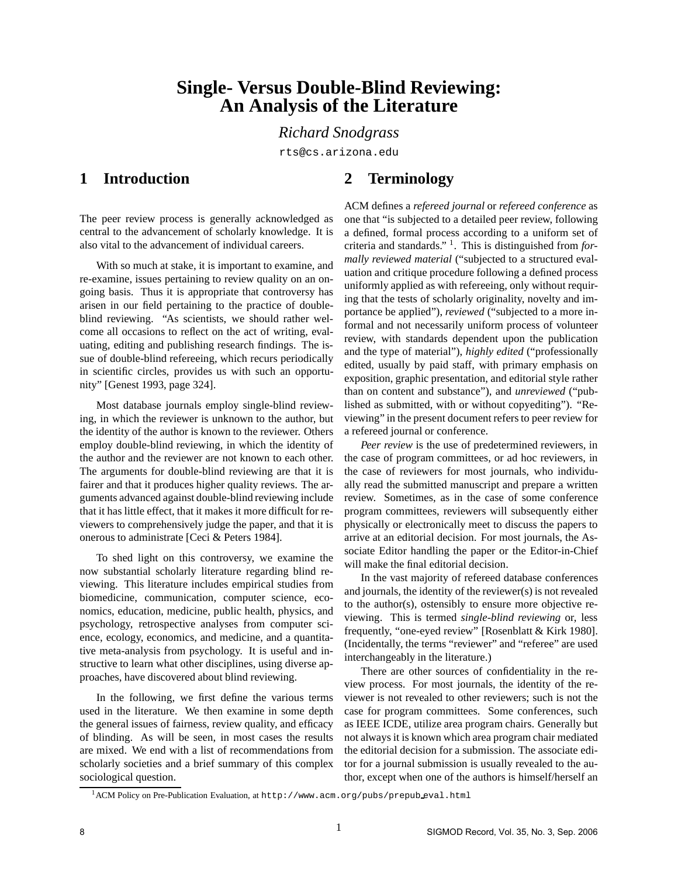# **Single- Versus Double-Blind Reviewing: An Analysis of the Literature**

### *Richard Snodgrass*

rts@cs.arizona.edu

### **1 Introduction**

**2 Terminology**

The peer review process is generally acknowledged as central to the advancement of scholarly knowledge. It is also vital to the advancement of individual careers.

With so much at stake, it is important to examine, and re-examine, issues pertaining to review quality on an ongoing basis. Thus it is appropriate that controversy has arisen in our field pertaining to the practice of doubleblind reviewing. "As scientists, we should rather welcome all occasions to reflect on the act of writing, evaluating, editing and publishing research findings. The issue of double-blind refereeing, which recurs periodically in scientific circles, provides us with such an opportunity" [Genest 1993, page 324].

Most database journals employ single-blind reviewing, in which the reviewer is unknown to the author, but the identity of the author is known to the reviewer. Others employ double-blind reviewing, in which the identity of the author and the reviewer are not known to each other. The arguments for double-blind reviewing are that it is fairer and that it produces higher quality reviews. The arguments advanced against double-blind reviewing include that it has little effect, that it makes it more difficult for reviewers to comprehensively judge the paper, and that it is onerous to administrate [Ceci & Peters 1984].

To shed light on this controversy, we examine the now substantial scholarly literature regarding blind reviewing. This literature includes empirical studies from biomedicine, communication, computer science, economics, education, medicine, public health, physics, and psychology, retrospective analyses from computer science, ecology, economics, and medicine, and a quantitative meta-analysis from psychology. It is useful and instructive to learn what other disciplines, using diverse approaches, have discovered about blind reviewing.

In the following, we first define the various terms used in the literature. We then examine in some depth the general issues of fairness, review quality, and efficacy of blinding. As will be seen, in most cases the results are mixed. We end with a list of recommendations from scholarly societies and a brief summary of this complex sociological question.

ACM defines a *refereed journal* or *refereed conference* as one that "is subjected to a detailed peer review, following a defined, formal process according to a uniform set of criteria and standards." <sup>1</sup> . This is distinguished from *formally reviewed material* ("subjected to a structured evaluation and critique procedure following a defined process uniformly applied as with refereeing, only without requiring that the tests of scholarly originality, novelty and importance be applied"), *reviewed* ("subjected to a more informal and not necessarily uniform process of volunteer review, with standards dependent upon the publication and the type of material"), *highly edited* ("professionally edited, usually by paid staff, with primary emphasis on exposition, graphic presentation, and editorial style rather than on content and substance"), and *unreviewed* ("published as submitted, with or without copyediting"). "Reviewing" in the present document refers to peer review for a refereed journal or conference.

*Peer review* is the use of predetermined reviewers, in the case of program committees, or ad hoc reviewers, in the case of reviewers for most journals, who individually read the submitted manuscript and prepare a written review. Sometimes, as in the case of some conference program committees, reviewers will subsequently either physically or electronically meet to discuss the papers to arrive at an editorial decision. For most journals, the Associate Editor handling the paper or the Editor-in-Chief will make the final editorial decision.

In the vast majority of refereed database conferences and journals, the identity of the reviewer(s) is not revealed to the author(s), ostensibly to ensure more objective reviewing. This is termed *single-blind reviewing* or, less frequently, "one-eyed review" [Rosenblatt & Kirk 1980]. (Incidentally, the terms "reviewer" and "referee" are used interchangeably in the literature.)

There are other sources of confidentiality in the review process. For most journals, the identity of the reviewer is not revealed to other reviewers; such is not the case for program committees. Some conferences, such as IEEE ICDE, utilize area program chairs. Generally but not always it is known which area program chair mediated the editorial decision for a submission. The associate editor for a journal submission is usually revealed to the author, except when one of the authors is himself/herself an

<sup>1</sup>ACM Policy on Pre-Publication Evaluation, at http://www.acm.org/pubs/prepub eval.html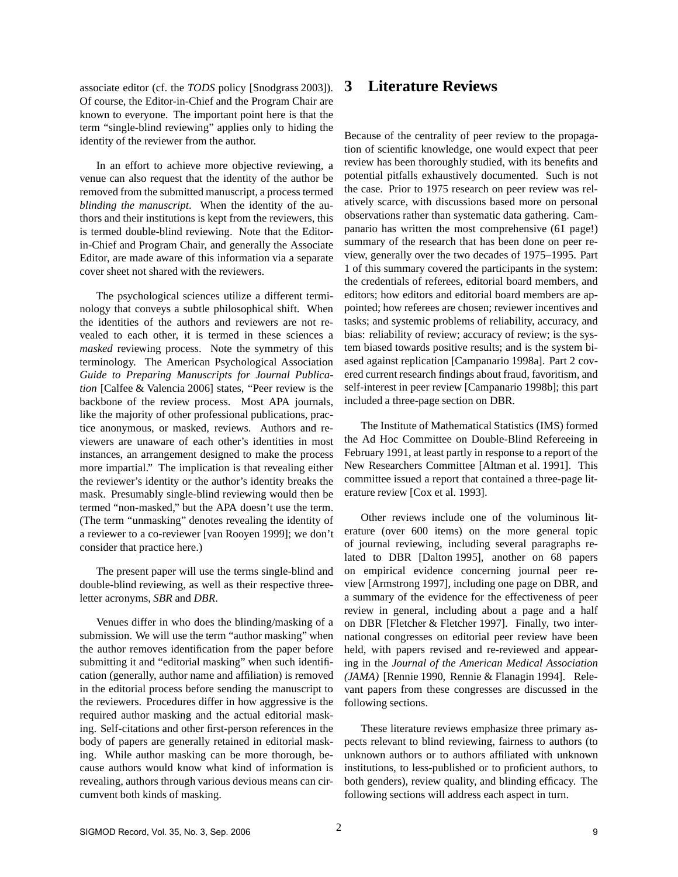associate editor (cf. the *TODS* policy [Snodgrass 2003]). Of course, the Editor-in-Chief and the Program Chair are known to everyone. The important point here is that the term "single-blind reviewing" applies only to hiding the identity of the reviewer from the author.

In an effort to achieve more objective reviewing, a venue can also request that the identity of the author be removed from the submitted manuscript, a process termed *blinding the manuscript*. When the identity of the authors and their institutions is kept from the reviewers, this is termed double-blind reviewing. Note that the Editorin-Chief and Program Chair, and generally the Associate Editor, are made aware of this information via a separate cover sheet not shared with the reviewers.

The psychological sciences utilize a different terminology that conveys a subtle philosophical shift. When the identities of the authors and reviewers are not revealed to each other, it is termed in these sciences a *masked* reviewing process. Note the symmetry of this terminology. The American Psychological Association *Guide to Preparing Manuscripts for Journal Publication* [Calfee & Valencia 2006] states, "Peer review is the backbone of the review process. Most APA journals, like the majority of other professional publications, practice anonymous, or masked, reviews. Authors and reviewers are unaware of each other's identities in most instances, an arrangement designed to make the process more impartial." The implication is that revealing either the reviewer's identity or the author's identity breaks the mask. Presumably single-blind reviewing would then be termed "non-masked," but the APA doesn't use the term. (The term "unmasking" denotes revealing the identity of a reviewer to a co-reviewer [van Rooyen 1999]; we don't consider that practice here.)

The present paper will use the terms single-blind and double-blind reviewing, as well as their respective threeletter acronyms, *SBR* and *DBR*.

Venues differ in who does the blinding/masking of a submission. We will use the term "author masking" when the author removes identification from the paper before submitting it and "editorial masking" when such identification (generally, author name and affiliation) is removed in the editorial process before sending the manuscript to the reviewers. Procedures differ in how aggressive is the required author masking and the actual editorial masking. Self-citations and other first-person references in the body of papers are generally retained in editorial masking. While author masking can be more thorough, because authors would know what kind of information is revealing, authors through various devious means can circumvent both kinds of masking.

# **3 Literature Reviews**

Because of the centrality of peer review to the propagation of scientific knowledge, one would expect that peer review has been thoroughly studied, with its benefits and potential pitfalls exhaustively documented. Such is not the case. Prior to 1975 research on peer review was relatively scarce, with discussions based more on personal observations rather than systematic data gathering. Campanario has written the most comprehensive (61 page!) summary of the research that has been done on peer review, generally over the two decades of 1975–1995. Part 1 of this summary covered the participants in the system: the credentials of referees, editorial board members, and editors; how editors and editorial board members are appointed; how referees are chosen; reviewer incentives and tasks; and systemic problems of reliability, accuracy, and bias: reliability of review; accuracy of review; is the system biased towards positive results; and is the system biased against replication [Campanario 1998a]. Part 2 covered current research findings about fraud, favoritism, and self-interest in peer review [Campanario 1998b]; this part included a three-page section on DBR.

The Institute of Mathematical Statistics (IMS) formed the Ad Hoc Committee on Double-Blind Refereeing in February 1991, at least partly in response to a report of the New Researchers Committee [Altman et al. 1991]. This committee issued a report that contained a three-page literature review [Cox et al. 1993].

Other reviews include one of the voluminous literature (over 600 items) on the more general topic of journal reviewing, including several paragraphs related to DBR [Dalton 1995], another on 68 papers on empirical evidence concerning journal peer review [Armstrong 1997], including one page on DBR, and a summary of the evidence for the effectiveness of peer review in general, including about a page and a half on DBR [Fletcher & Fletcher 1997]. Finally, two international congresses on editorial peer review have been held, with papers revised and re-reviewed and appearing in the *Journal of the American Medical Association (JAMA)* [Rennie 1990, Rennie & Flanagin 1994]. Relevant papers from these congresses are discussed in the following sections.

These literature reviews emphasize three primary aspects relevant to blind reviewing, fairness to authors (to unknown authors or to authors affiliated with unknown institutions, to less-published or to proficient authors, to both genders), review quality, and blinding efficacy. The following sections will address each aspect in turn.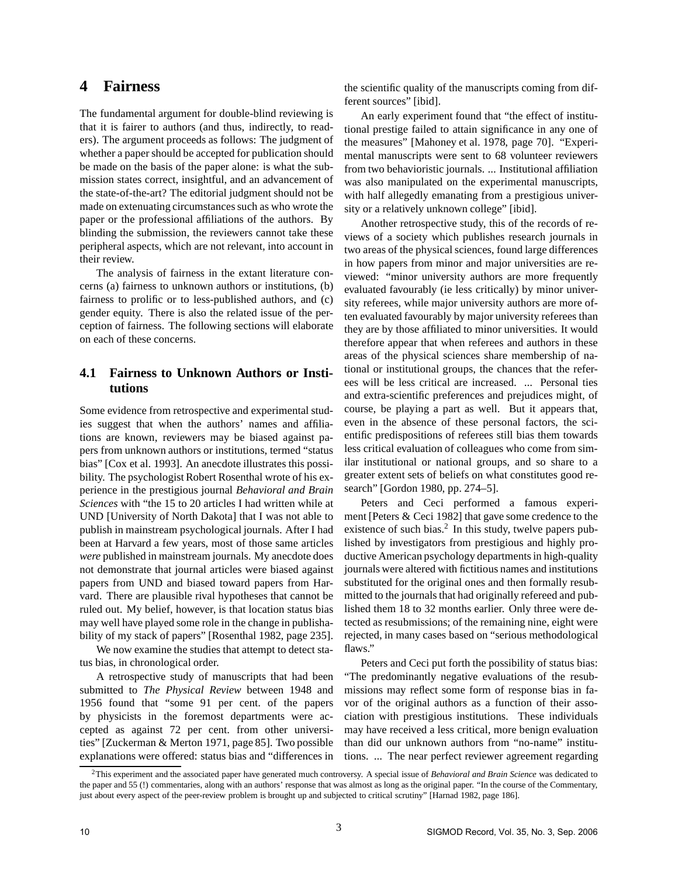### **4 Fairness**

The fundamental argument for double-blind reviewing is that it is fairer to authors (and thus, indirectly, to readers). The argument proceeds as follows: The judgment of whether a paper should be accepted for publication should be made on the basis of the paper alone: is what the submission states correct, insightful, and an advancement of the state-of-the-art? The editorial judgment should not be made on extenuating circumstances such as who wrote the paper or the professional affiliations of the authors. By blinding the submission, the reviewers cannot take these peripheral aspects, which are not relevant, into account in their review.

The analysis of fairness in the extant literature concerns (a) fairness to unknown authors or institutions, (b) fairness to prolific or to less-published authors, and (c) gender equity. There is also the related issue of the perception of fairness. The following sections will elaborate on each of these concerns.

### **4.1 Fairness to Unknown Authors or Institutions**

Some evidence from retrospective and experimental studies suggest that when the authors' names and affiliations are known, reviewers may be biased against papers from unknown authors or institutions, termed "status bias" [Cox et al. 1993]. An anecdote illustrates this possibility. The psychologist Robert Rosenthal wrote of his experience in the prestigious journal *Behavioral and Brain Sciences* with "the 15 to 20 articles I had written while at UND [University of North Dakota] that I was not able to publish in mainstream psychological journals. After I had been at Harvard a few years, most of those same articles *were* published in mainstream journals. My anecdote does not demonstrate that journal articles were biased against papers from UND and biased toward papers from Harvard. There are plausible rival hypotheses that cannot be ruled out. My belief, however, is that location status bias may well have played some role in the change in publishability of my stack of papers" [Rosenthal 1982, page 235].

We now examine the studies that attempt to detect status bias, in chronological order.

A retrospective study of manuscripts that had been submitted to *The Physical Review* between 1948 and 1956 found that "some 91 per cent. of the papers by physicists in the foremost departments were accepted as against 72 per cent. from other universities" [Zuckerman & Merton 1971, page 85]. Two possible explanations were offered: status bias and "differences in the scientific quality of the manuscripts coming from different sources" [ibid].

An early experiment found that "the effect of institutional prestige failed to attain significance in any one of the measures" [Mahoney et al. 1978, page 70]. "Experimental manuscripts were sent to 68 volunteer reviewers from two behavioristic journals. ... Institutional affiliation was also manipulated on the experimental manuscripts, with half allegedly emanating from a prestigious university or a relatively unknown college" [ibid].

Another retrospective study, this of the records of reviews of a society which publishes research journals in two areas of the physical sciences, found large differences in how papers from minor and major universities are reviewed: "minor university authors are more frequently evaluated favourably (ie less critically) by minor university referees, while major university authors are more often evaluated favourably by major university referees than they are by those affiliated to minor universities. It would therefore appear that when referees and authors in these areas of the physical sciences share membership of national or institutional groups, the chances that the referees will be less critical are increased. ... Personal ties and extra-scientific preferences and prejudices might, of course, be playing a part as well. But it appears that, even in the absence of these personal factors, the scientific predispositions of referees still bias them towards less critical evaluation of colleagues who come from similar institutional or national groups, and so share to a greater extent sets of beliefs on what constitutes good research" [Gordon 1980, pp. 274–5].

Peters and Ceci performed a famous experiment [Peters & Ceci 1982] that gave some credence to the existence of such bias. $<sup>2</sup>$  In this study, twelve papers pub-</sup> lished by investigators from prestigious and highly productive American psychology departments in high-quality journals were altered with fictitious names and institutions substituted for the original ones and then formally resubmitted to the journals that had originally refereed and published them 18 to 32 months earlier. Only three were detected as resubmissions; of the remaining nine, eight were rejected, in many cases based on "serious methodological flaws."

Peters and Ceci put forth the possibility of status bias: "The predominantly negative evaluations of the resubmissions may reflect some form of response bias in favor of the original authors as a function of their association with prestigious institutions. These individuals may have received a less critical, more benign evaluation than did our unknown authors from "no-name" institutions. ... The near perfect reviewer agreement regarding

<sup>2</sup>This experiment and the associated paper have generated much controversy. A special issue of *Behavioral and Brain Science* was dedicated to the paper and 55 (!) commentaries, along with an authors' response that was almost as long as the original paper. "In the course of the Commentary, just about every aspect of the peer-review problem is brought up and subjected to critical scrutiny" [Harnad 1982, page 186].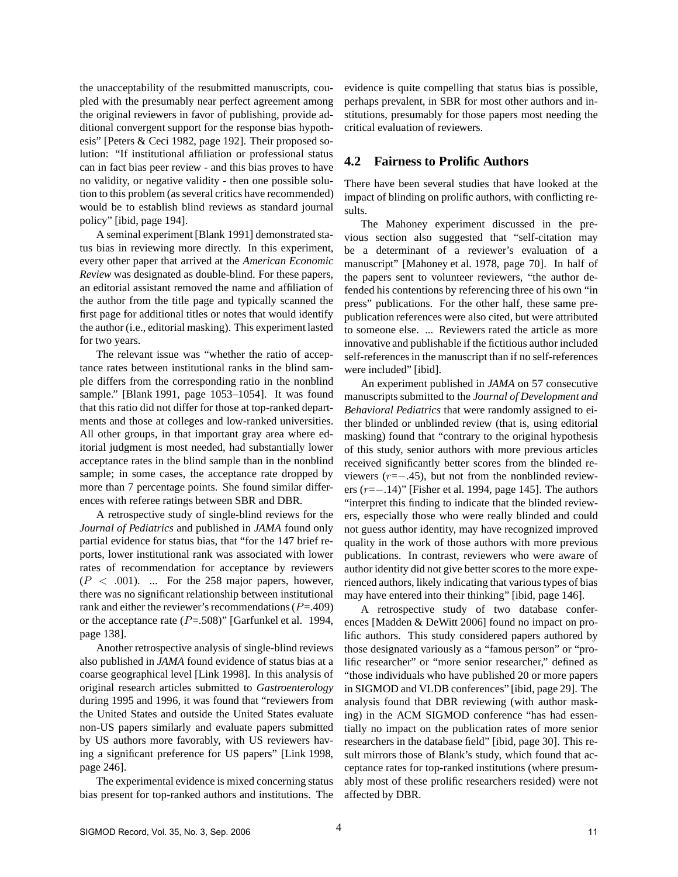the unacceptability of the resubmitted manuscripts, coupled with the presumably near perfect agreement among the original reviewers in favor of publishing, provide additional convergent support for the response bias hypothesis" [Peters & Ceci 1982, page 192]. Their proposed solution: "If institutional affiliation or professional status can in fact bias peer review - and this bias proves to have no validity, or negative validity - then one possible solution to this problem (as several critics have recommended) would be to establish blind reviews as standard journal policy" [ibid, page 194].

A seminal experiment [Blank 1991] demonstrated status bias in reviewing more directly. In this experiment, every other paper that arrived at the *American Economic Review* was designated as double-blind. For these papers, an editorial assistant removed the name and affiliation of the author from the title page and typically scanned the first page for additional titles or notes that would identify the author (i.e., editorial masking). This experiment lasted for two years.

The relevant issue was "whether the ratio of acceptance rates between institutional ranks in the blind sample differs from the corresponding ratio in the nonblind sample." [Blank 1991, page 1053–1054]. It was found that this ratio did not differ for those at top-ranked departments and those at colleges and low-ranked universities. All other groups, in that important gray area where editorial judgment is most needed, had substantially lower acceptance rates in the blind sample than in the nonblind sample; in some cases, the acceptance rate dropped by more than 7 percentage points. She found similar differences with referee ratings between SBR and DBR.

A retrospective study of single-blind reviews for the *Journal of Pediatrics* and published in *JAMA* found only partial evidence for status bias, that "for the 147 brief reports, lower institutional rank was associated with lower rates of recommendation for acceptance by reviewers  $(P < .001)$ . ... For the 258 major papers, however, there was no significant relationship between institutional rank and either the reviewer's recommendations ( $P = 1409$ ) or the acceptance rate  $(P=.508)$ " [Garfunkel et al. 1994, page 138].

Another retrospective analysis of single-blind reviews also published in *JAMA* found evidence of status bias at a coarse geographical level [Link 1998]. In this analysis of original research articles submitted to *Gastroenterology* during 1995 and 1996, it was found that "reviewers from the United States and outside the United States evaluate non-US papers similarly and evaluate papers submitted by US authors more favorably, with US reviewers having a significant preference for US papers" [Link 1998, page 246].

The experimental evidence is mixed concerning status bias present for top-ranked authors and institutions. The evidence is quite compelling that status bias is possible, perhaps prevalent, in SBR for most other authors and institutions, presumably for those papers most needing the critical evaluation of reviewers.

#### **4.2 Fairness to Prolific Authors**

There have been several studies that have looked at the impact of blinding on prolific authors, with conflicting results.

The Mahoney experiment discussed in the previous section also suggested that "self-citation may be a determinant of a reviewer's evaluation of a manuscript" [Mahoney et al. 1978, page 70]. In half of the papers sent to volunteer reviewers, "the author defended his contentions by referencing three of his own "in press" publications. For the other half, these same prepublication references were also cited, but were attributed to someone else. ... Reviewers rated the article as more innovative and publishable if the fictitious author included self-references in the manuscript than if no self-references were included" [ibid].

An experiment published in *JAMA* on 57 consecutive manuscripts submitted to the *Journal of Development and Behavioral Pediatrics* that were randomly assigned to either blinded or unblinded review (that is, using editorial masking) found that "contrary to the original hypothesis of this study, senior authors with more previous articles received significantly better scores from the blinded reviewers (r=−.45), but not from the nonblinded reviewers (r=−.14)" [Fisher et al. 1994, page 145]. The authors "interpret this finding to indicate that the blinded reviewers, especially those who were really blinded and could not guess author identity, may have recognized improved quality in the work of those authors with more previous publications. In contrast, reviewers who were aware of author identity did not give better scores to the more experienced authors, likely indicating that various types of bias may have entered into their thinking" [ibid, page 146].

A retrospective study of two database conferences [Madden & DeWitt 2006] found no impact on prolific authors. This study considered papers authored by those designated variously as a "famous person" or "prolific researcher" or "more senior researcher," defined as "those individuals who have published 20 or more papers in SIGMOD and VLDB conferences" [ibid, page 29]. The analysis found that DBR reviewing (with author masking) in the ACM SIGMOD conference "has had essentially no impact on the publication rates of more senior researchers in the database field" [ibid, page 30]. This result mirrors those of Blank's study, which found that acceptance rates for top-ranked institutions (where presumably most of these prolific researchers resided) were not affected by DBR.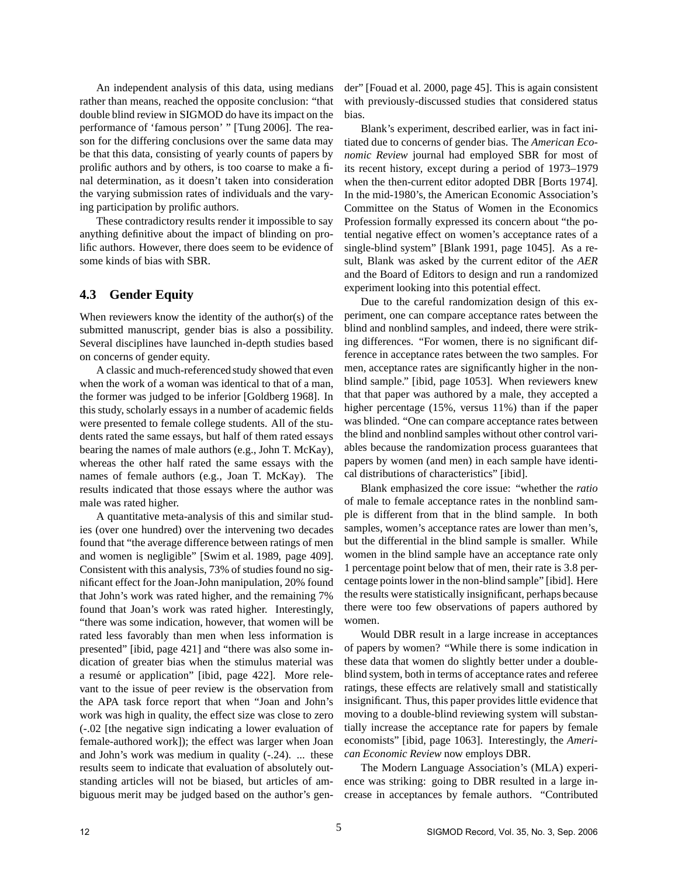An independent analysis of this data, using medians rather than means, reached the opposite conclusion: "that double blind review in SIGMOD do have its impact on the performance of 'famous person' " [Tung 2006]. The reason for the differing conclusions over the same data may be that this data, consisting of yearly counts of papers by prolific authors and by others, is too coarse to make a final determination, as it doesn't taken into consideration the varying submission rates of individuals and the varying participation by prolific authors.

These contradictory results render it impossible to say anything definitive about the impact of blinding on prolific authors. However, there does seem to be evidence of some kinds of bias with SBR.

#### **4.3 Gender Equity**

When reviewers know the identity of the author(s) of the submitted manuscript, gender bias is also a possibility. Several disciplines have launched in-depth studies based on concerns of gender equity.

A classic and much-referenced study showed that even when the work of a woman was identical to that of a man, the former was judged to be inferior [Goldberg 1968]. In this study, scholarly essays in a number of academic fields were presented to female college students. All of the students rated the same essays, but half of them rated essays bearing the names of male authors (e.g., John T. McKay), whereas the other half rated the same essays with the names of female authors (e.g., Joan T. McKay). The results indicated that those essays where the author was male was rated higher.

A quantitative meta-analysis of this and similar studies (over one hundred) over the intervening two decades found that "the average difference between ratings of men and women is negligible" [Swim et al. 1989, page 409]. Consistent with this analysis, 73% of studies found no significant effect for the Joan-John manipulation, 20% found that John's work was rated higher, and the remaining 7% found that Joan's work was rated higher. Interestingly, "there was some indication, however, that women will be rated less favorably than men when less information is presented" [ibid, page 421] and "there was also some indication of greater bias when the stimulus material was a resumé or application" [ibid, page 422]. More relevant to the issue of peer review is the observation from the APA task force report that when "Joan and John's work was high in quality, the effect size was close to zero (-.02 [the negative sign indicating a lower evaluation of female-authored work]); the effect was larger when Joan and John's work was medium in quality (-.24). ... these results seem to indicate that evaluation of absolutely outstanding articles will not be biased, but articles of ambiguous merit may be judged based on the author's gender" [Fouad et al. 2000, page 45]. This is again consistent with previously-discussed studies that considered status bias.

Blank's experiment, described earlier, was in fact initiated due to concerns of gender bias. The *American Economic Review* journal had employed SBR for most of its recent history, except during a period of 1973–1979 when the then-current editor adopted DBR [Borts 1974]. In the mid-1980's, the American Economic Association's Committee on the Status of Women in the Economics Profession formally expressed its concern about "the potential negative effect on women's acceptance rates of a single-blind system" [Blank 1991, page 1045]. As a result, Blank was asked by the current editor of the *AER* and the Board of Editors to design and run a randomized experiment looking into this potential effect.

Due to the careful randomization design of this experiment, one can compare acceptance rates between the blind and nonblind samples, and indeed, there were striking differences. "For women, there is no significant difference in acceptance rates between the two samples. For men, acceptance rates are significantly higher in the nonblind sample." [ibid, page 1053]. When reviewers knew that that paper was authored by a male, they accepted a higher percentage (15%, versus 11%) than if the paper was blinded. "One can compare acceptance rates between the blind and nonblind samples without other control variables because the randomization process guarantees that papers by women (and men) in each sample have identical distributions of characteristics" [ibid].

Blank emphasized the core issue: "whether the *ratio* of male to female acceptance rates in the nonblind sample is different from that in the blind sample. In both samples, women's acceptance rates are lower than men's, but the differential in the blind sample is smaller. While women in the blind sample have an acceptance rate only 1 percentage point below that of men, their rate is 3.8 percentage points lower in the non-blind sample" [ibid]. Here the results were statistically insignificant, perhaps because there were too few observations of papers authored by women.

Would DBR result in a large increase in acceptances of papers by women? "While there is some indication in these data that women do slightly better under a doubleblind system, both in terms of acceptance rates and referee ratings, these effects are relatively small and statistically insignificant. Thus, this paper provides little evidence that moving to a double-blind reviewing system will substantially increase the acceptance rate for papers by female economists" [ibid, page 1063]. Interestingly, the *American Economic Review* now employs DBR.

The Modern Language Association's (MLA) experience was striking: going to DBR resulted in a large increase in acceptances by female authors. "Contributed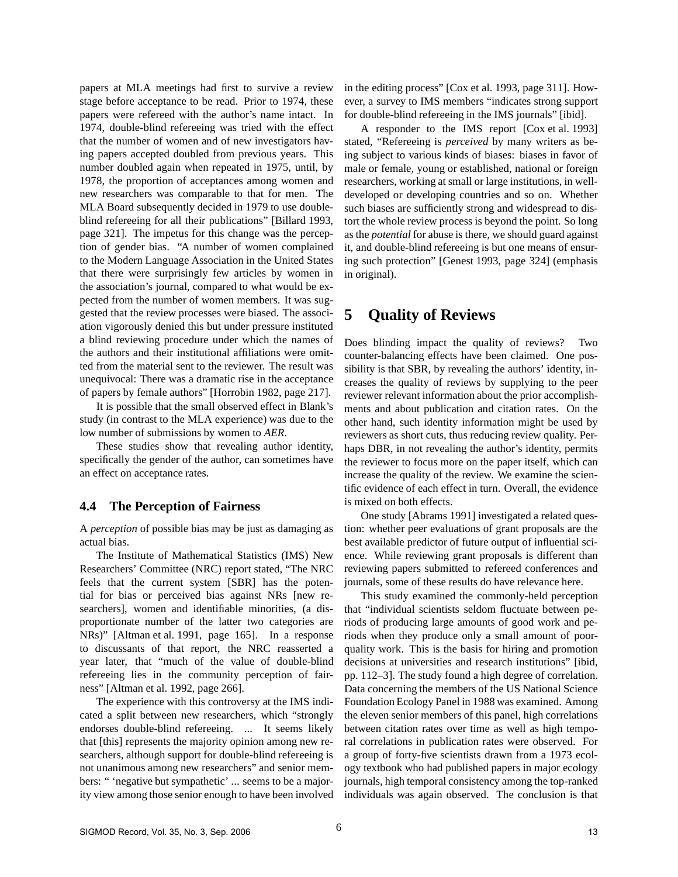papers at MLA meetings had first to survive a review stage before acceptance to be read. Prior to 1974, these papers were refereed with the author's name intact. In 1974, double-blind refereeing was tried with the effect that the number of women and of new investigators having papers accepted doubled from previous years. This number doubled again when repeated in 1975, until, by 1978, the proportion of acceptances among women and new researchers was comparable to that for men. The MLA Board subsequently decided in 1979 to use doubleblind refereeing for all their publications" [Billard 1993, page 321]. The impetus for this change was the perception of gender bias. "A number of women complained to the Modern Language Association in the United States that there were surprisingly few articles by women in the association's journal, compared to what would be expected from the number of women members. It was suggested that the review processes were biased. The association vigorously denied this but under pressure instituted a blind reviewing procedure under which the names of the authors and their institutional affiliations were omitted from the material sent to the reviewer. The result was unequivocal: There was a dramatic rise in the acceptance of papers by female authors" [Horrobin 1982, page 217].

It is possible that the small observed effect in Blank's study (in contrast to the MLA experience) was due to the low number of submissions by women to *AER*.

These studies show that revealing author identity, specifically the gender of the author, can sometimes have an effect on acceptance rates.

#### **4.4 The Perception of Fairness**

A *perception* of possible bias may be just as damaging as actual bias.

The Institute of Mathematical Statistics (IMS) New Researchers' Committee (NRC) report stated, "The NRC feels that the current system [SBR] has the potential for bias or perceived bias against NRs [new researchers], women and identifiable minorities, (a disproportionate number of the latter two categories are NRs)" [Altman et al. 1991, page 165]. In a response to discussants of that report, the NRC reasserted a year later, that "much of the value of double-blind refereeing lies in the community perception of fairness" [Altman et al. 1992, page 266].

The experience with this controversy at the IMS indicated a split between new researchers, which "strongly endorses double-blind refereeing. ... It seems likely that [this] represents the majority opinion among new researchers, although support for double-blind refereeing is not unanimous among new researchers" and senior members: " 'negative but sympathetic' ... seems to be a majority view among those senior enough to have been involved in the editing process" [Cox et al. 1993, page 311]. However, a survey to IMS members "indicates strong support for double-blind refereeing in the IMS journals" [ibid].

A responder to the IMS report [Cox et al. 1993] stated, "Refereeing is *perceived* by many writers as being subject to various kinds of biases: biases in favor of male or female, young or established, national or foreign researchers, working at small or large institutions, in welldeveloped or developing countries and so on. Whether such biases are sufficiently strong and widespread to distort the whole review process is beyond the point. So long as the *potential* for abuse is there, we should guard against it, and double-blind refereeing is but one means of ensuring such protection" [Genest 1993, page 324] (emphasis in original).

# **5 Quality of Reviews**

Does blinding impact the quality of reviews? Two counter-balancing effects have been claimed. One possibility is that SBR, by revealing the authors' identity, increases the quality of reviews by supplying to the peer reviewer relevant information about the prior accomplishments and about publication and citation rates. On the other hand, such identity information might be used by reviewers as short cuts, thus reducing review quality. Perhaps DBR, in not revealing the author's identity, permits the reviewer to focus more on the paper itself, which can increase the quality of the review. We examine the scientific evidence of each effect in turn. Overall, the evidence is mixed on both effects.

One study [Abrams 1991] investigated a related question: whether peer evaluations of grant proposals are the best available predictor of future output of influential science. While reviewing grant proposals is different than reviewing papers submitted to refereed conferences and journals, some of these results do have relevance here.

This study examined the commonly-held perception that "individual scientists seldom fluctuate between periods of producing large amounts of good work and periods when they produce only a small amount of poorquality work. This is the basis for hiring and promotion decisions at universities and research institutions" [ibid, pp. 112–3]. The study found a high degree of correlation. Data concerning the members of the US National Science Foundation Ecology Panel in 1988 was examined. Among the eleven senior members of this panel, high correlations between citation rates over time as well as high temporal correlations in publication rates were observed. For a group of forty-five scientists drawn from a 1973 ecology textbook who had published papers in major ecology journals, high temporal consistency among the top-ranked individuals was again observed. The conclusion is that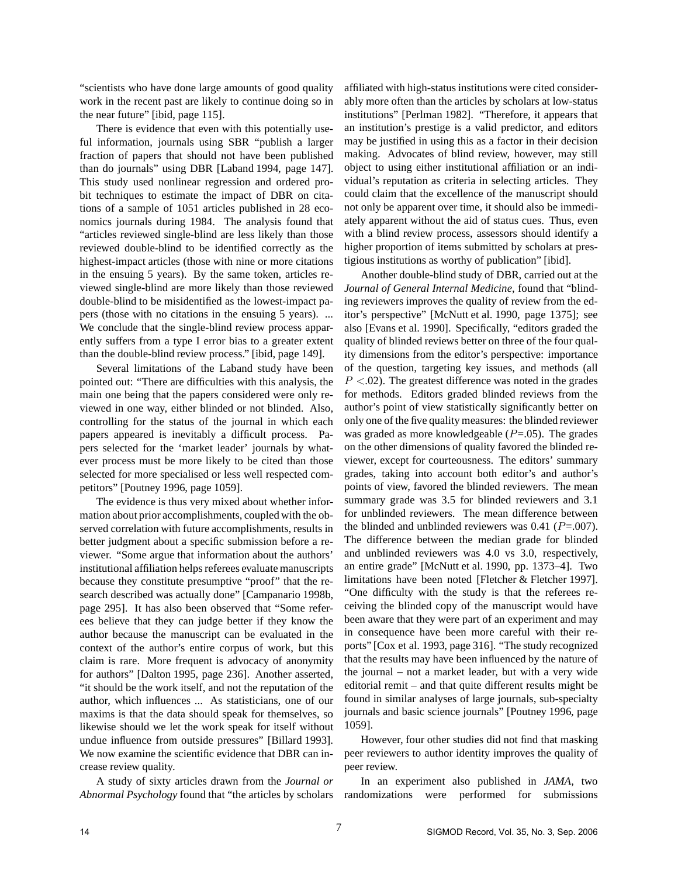"scientists who have done large amounts of good quality work in the recent past are likely to continue doing so in the near future" [ibid, page 115].

There is evidence that even with this potentially useful information, journals using SBR "publish a larger fraction of papers that should not have been published than do journals" using DBR [Laband 1994, page 147]. This study used nonlinear regression and ordered probit techniques to estimate the impact of DBR on citations of a sample of 1051 articles published in 28 economics journals during 1984. The analysis found that "articles reviewed single-blind are less likely than those reviewed double-blind to be identified correctly as the highest-impact articles (those with nine or more citations in the ensuing 5 years). By the same token, articles reviewed single-blind are more likely than those reviewed double-blind to be misidentified as the lowest-impact papers (those with no citations in the ensuing 5 years). ... We conclude that the single-blind review process apparently suffers from a type I error bias to a greater extent than the double-blind review process." [ibid, page 149].

Several limitations of the Laband study have been pointed out: "There are difficulties with this analysis, the main one being that the papers considered were only reviewed in one way, either blinded or not blinded. Also, controlling for the status of the journal in which each papers appeared is inevitably a difficult process. Papers selected for the 'market leader' journals by whatever process must be more likely to be cited than those selected for more specialised or less well respected competitors" [Poutney 1996, page 1059].

The evidence is thus very mixed about whether information about prior accomplishments, coupled with the observed correlation with future accomplishments, results in better judgment about a specific submission before a reviewer. "Some argue that information about the authors' institutional affiliation helps referees evaluate manuscripts because they constitute presumptive "proof" that the research described was actually done" [Campanario 1998b, page 295]. It has also been observed that "Some referees believe that they can judge better if they know the author because the manuscript can be evaluated in the context of the author's entire corpus of work, but this claim is rare. More frequent is advocacy of anonymity for authors" [Dalton 1995, page 236]. Another asserted, "it should be the work itself, and not the reputation of the author, which influences ... As statisticians, one of our maxims is that the data should speak for themselves, so likewise should we let the work speak for itself without undue influence from outside pressures" [Billard 1993]. We now examine the scientific evidence that DBR can increase review quality.

A study of sixty articles drawn from the *Journal or Abnormal Psychology* found that "the articles by scholars affiliated with high-status institutions were cited considerably more often than the articles by scholars at low-status institutions" [Perlman 1982]. "Therefore, it appears that an institution's prestige is a valid predictor, and editors may be justified in using this as a factor in their decision making. Advocates of blind review, however, may still object to using either institutional affiliation or an individual's reputation as criteria in selecting articles. They could claim that the excellence of the manuscript should not only be apparent over time, it should also be immediately apparent without the aid of status cues. Thus, even with a blind review process, assessors should identify a higher proportion of items submitted by scholars at prestigious institutions as worthy of publication" [ibid].

Another double-blind study of DBR, carried out at the *Journal of General Internal Medicine*, found that "blinding reviewers improves the quality of review from the editor's perspective" [McNutt et al. 1990, page 1375]; see also [Evans et al. 1990]. Specifically, "editors graded the quality of blinded reviews better on three of the four quality dimensions from the editor's perspective: importance of the question, targeting key issues, and methods (all  $P < .02$ ). The greatest difference was noted in the grades for methods. Editors graded blinded reviews from the author's point of view statistically significantly better on only one of the five quality measures: the blinded reviewer was graded as more knowledgeable  $(P=.05)$ . The grades on the other dimensions of quality favored the blinded reviewer, except for courteousness. The editors' summary grades, taking into account both editor's and author's points of view, favored the blinded reviewers. The mean summary grade was 3.5 for blinded reviewers and 3.1 for unblinded reviewers. The mean difference between the blinded and unblinded reviewers was  $0.41$  ( $P=.007$ ). The difference between the median grade for blinded and unblinded reviewers was 4.0 vs 3.0, respectively, an entire grade" [McNutt et al. 1990, pp. 1373–4]. Two limitations have been noted [Fletcher & Fletcher 1997]. "One difficulty with the study is that the referees receiving the blinded copy of the manuscript would have been aware that they were part of an experiment and may in consequence have been more careful with their reports" [Cox et al. 1993, page 316]. "The study recognized that the results may have been influenced by the nature of the journal – not a market leader, but with a very wide editorial remit – and that quite different results might be found in similar analyses of large journals, sub-specialty journals and basic science journals" [Poutney 1996, page 1059].

However, four other studies did not find that masking peer reviewers to author identity improves the quality of peer review.

In an experiment also published in *JAMA*, two randomizations were performed for submissions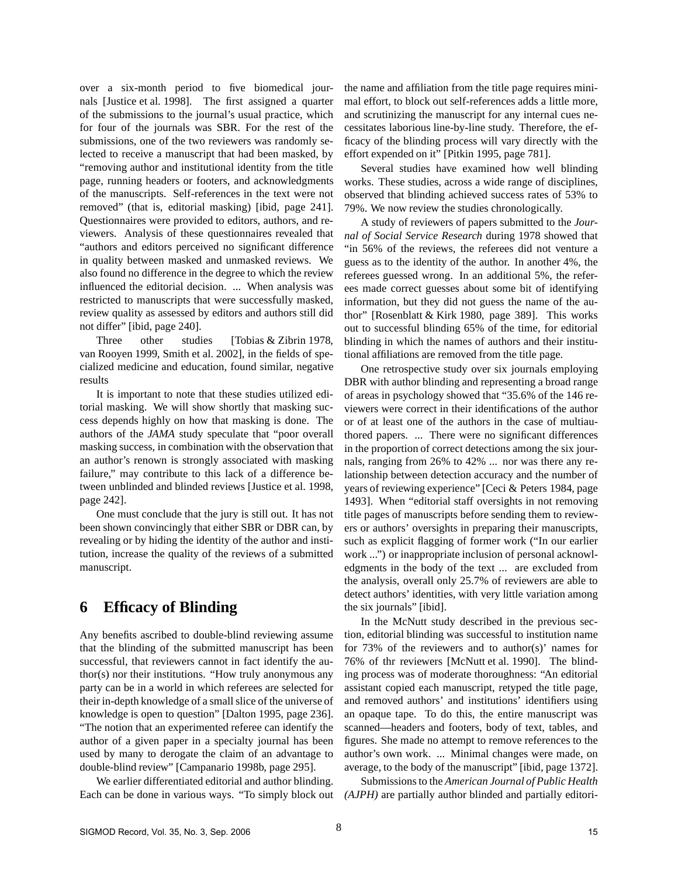over a six-month period to five biomedical journals [Justice et al. 1998]. The first assigned a quarter of the submissions to the journal's usual practice, which for four of the journals was SBR. For the rest of the submissions, one of the two reviewers was randomly selected to receive a manuscript that had been masked, by "removing author and institutional identity from the title page, running headers or footers, and acknowledgments of the manuscripts. Self-references in the text were not removed" (that is, editorial masking) [ibid, page 241]. Questionnaires were provided to editors, authors, and reviewers. Analysis of these questionnaires revealed that "authors and editors perceived no significant difference in quality between masked and unmasked reviews. We also found no difference in the degree to which the review influenced the editorial decision. ... When analysis was restricted to manuscripts that were successfully masked, review quality as assessed by editors and authors still did not differ" [ibid, page 240].

Three other studies [Tobias & Zibrin 1978, van Rooyen 1999, Smith et al. 2002], in the fields of specialized medicine and education, found similar, negative results

It is important to note that these studies utilized editorial masking. We will show shortly that masking success depends highly on how that masking is done. The authors of the *JAMA* study speculate that "poor overall masking success, in combination with the observation that an author's renown is strongly associated with masking failure," may contribute to this lack of a difference between unblinded and blinded reviews [Justice et al. 1998, page 242].

One must conclude that the jury is still out. It has not been shown convincingly that either SBR or DBR can, by revealing or by hiding the identity of the author and institution, increase the quality of the reviews of a submitted manuscript.

## **6 Efficacy of Blinding**

Any benefits ascribed to double-blind reviewing assume that the blinding of the submitted manuscript has been successful, that reviewers cannot in fact identify the author(s) nor their institutions. "How truly anonymous any party can be in a world in which referees are selected for their in-depth knowledge of a small slice of the universe of knowledge is open to question" [Dalton 1995, page 236]. "The notion that an experimented referee can identify the author of a given paper in a specialty journal has been used by many to derogate the claim of an advantage to double-blind review" [Campanario 1998b, page 295].

We earlier differentiated editorial and author blinding. Each can be done in various ways. "To simply block out the name and affiliation from the title page requires minimal effort, to block out self-references adds a little more, and scrutinizing the manuscript for any internal cues necessitates laborious line-by-line study. Therefore, the efficacy of the blinding process will vary directly with the effort expended on it" [Pitkin 1995, page 781].

Several studies have examined how well blinding works. These studies, across a wide range of disciplines, observed that blinding achieved success rates of 53% to 79%. We now review the studies chronologically.

A study of reviewers of papers submitted to the *Journal of Social Service Research* during 1978 showed that "in 56% of the reviews, the referees did not venture a guess as to the identity of the author. In another 4%, the referees guessed wrong. In an additional 5%, the referees made correct guesses about some bit of identifying information, but they did not guess the name of the author" [Rosenblatt & Kirk 1980, page 389]. This works out to successful blinding 65% of the time, for editorial blinding in which the names of authors and their institutional affiliations are removed from the title page.

One retrospective study over six journals employing DBR with author blinding and representing a broad range of areas in psychology showed that "35.6% of the 146 reviewers were correct in their identifications of the author or of at least one of the authors in the case of multiauthored papers. ... There were no significant differences in the proportion of correct detections among the six journals, ranging from 26% to 42% ... nor was there any relationship between detection accuracy and the number of years of reviewing experience" [Ceci & Peters 1984, page 1493]. When "editorial staff oversights in not removing title pages of manuscripts before sending them to reviewers or authors' oversights in preparing their manuscripts, such as explicit flagging of former work ("In our earlier work ...") or inappropriate inclusion of personal acknowledgments in the body of the text ... are excluded from the analysis, overall only 25.7% of reviewers are able to detect authors' identities, with very little variation among the six journals" [ibid].

In the McNutt study described in the previous section, editorial blinding was successful to institution name for 73% of the reviewers and to author(s)' names for 76% of thr reviewers [McNutt et al. 1990]. The blinding process was of moderate thoroughness: "An editorial assistant copied each manuscript, retyped the title page, and removed authors' and institutions' identifiers using an opaque tape. To do this, the entire manuscript was scanned—headers and footers, body of text, tables, and figures. She made no attempt to remove references to the author's own work. ... Minimal changes were made, on average, to the body of the manuscript" [ibid, page 1372].

Submissions to the *American Journal of Public Health (AJPH)* are partially author blinded and partially editori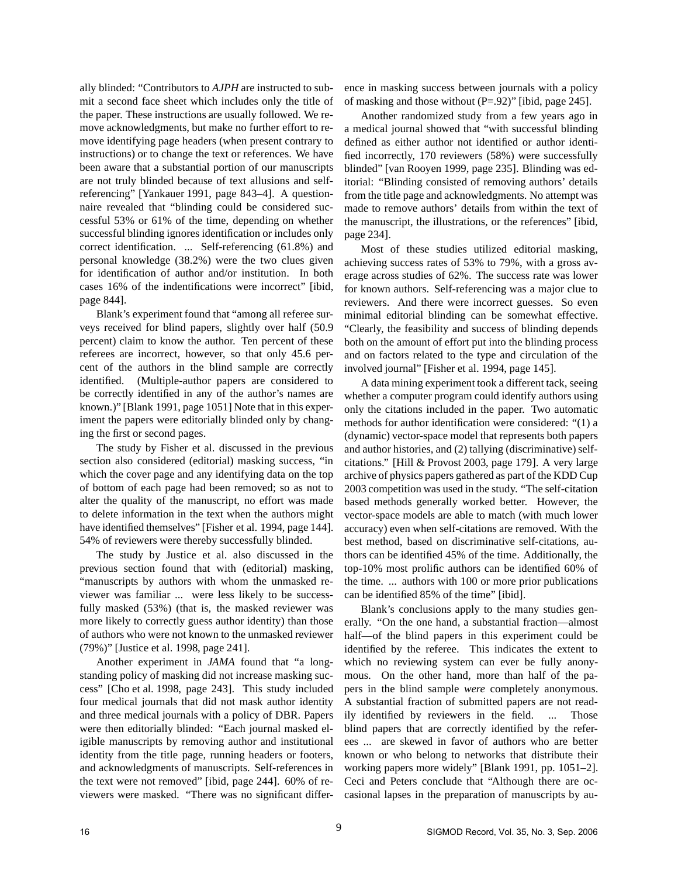ally blinded: "Contributors to *AJPH* are instructed to submit a second face sheet which includes only the title of the paper. These instructions are usually followed. We remove acknowledgments, but make no further effort to remove identifying page headers (when present contrary to instructions) or to change the text or references. We have been aware that a substantial portion of our manuscripts are not truly blinded because of text allusions and selfreferencing" [Yankauer 1991, page 843–4]. A questionnaire revealed that "blinding could be considered successful 53% or 61% of the time, depending on whether successful blinding ignores identification or includes only correct identification. ... Self-referencing (61.8%) and personal knowledge (38.2%) were the two clues given for identification of author and/or institution. In both cases 16% of the indentifications were incorrect" [ibid, page 844].

Blank's experiment found that "among all referee surveys received for blind papers, slightly over half (50.9 percent) claim to know the author. Ten percent of these referees are incorrect, however, so that only 45.6 percent of the authors in the blind sample are correctly identified. (Multiple-author papers are considered to be correctly identified in any of the author's names are known.)" [Blank 1991, page 1051] Note that in this experiment the papers were editorially blinded only by changing the first or second pages.

The study by Fisher et al. discussed in the previous section also considered (editorial) masking success, "in which the cover page and any identifying data on the top of bottom of each page had been removed; so as not to alter the quality of the manuscript, no effort was made to delete information in the text when the authors might have identified themselves" [Fisher et al. 1994, page 144]. 54% of reviewers were thereby successfully blinded.

The study by Justice et al. also discussed in the previous section found that with (editorial) masking, "manuscripts by authors with whom the unmasked reviewer was familiar ... were less likely to be successfully masked (53%) (that is, the masked reviewer was more likely to correctly guess author identity) than those of authors who were not known to the unmasked reviewer (79%)" [Justice et al. 1998, page 241].

Another experiment in *JAMA* found that "a longstanding policy of masking did not increase masking success" [Cho et al. 1998, page 243]. This study included four medical journals that did not mask author identity and three medical journals with a policy of DBR. Papers were then editorially blinded: "Each journal masked eligible manuscripts by removing author and institutional identity from the title page, running headers or footers, and acknowledgments of manuscripts. Self-references in the text were not removed" [ibid, page 244]. 60% of reviewers were masked. "There was no significant difference in masking success between journals with a policy of masking and those without  $(P=.92)$ " [ibid, page 245].

Another randomized study from a few years ago in a medical journal showed that "with successful blinding defined as either author not identified or author identified incorrectly, 170 reviewers (58%) were successfully blinded" [van Rooyen 1999, page 235]. Blinding was editorial: "Blinding consisted of removing authors' details from the title page and acknowledgments. No attempt was made to remove authors' details from within the text of the manuscript, the illustrations, or the references" [ibid, page 234].

Most of these studies utilized editorial masking, achieving success rates of 53% to 79%, with a gross average across studies of 62%. The success rate was lower for known authors. Self-referencing was a major clue to reviewers. And there were incorrect guesses. So even minimal editorial blinding can be somewhat effective. "Clearly, the feasibility and success of blinding depends both on the amount of effort put into the blinding process and on factors related to the type and circulation of the involved journal" [Fisher et al. 1994, page 145].

A data mining experiment took a different tack, seeing whether a computer program could identify authors using only the citations included in the paper. Two automatic methods for author identification were considered: "(1) a (dynamic) vector-space model that represents both papers and author histories, and (2) tallying (discriminative) selfcitations." [Hill & Provost 2003, page 179]. A very large archive of physics papers gathered as part of the KDD Cup 2003 competition was used in the study. "The self-citation based methods generally worked better. However, the vector-space models are able to match (with much lower accuracy) even when self-citations are removed. With the best method, based on discriminative self-citations, authors can be identified 45% of the time. Additionally, the top-10% most prolific authors can be identified 60% of the time. ... authors with 100 or more prior publications can be identified 85% of the time" [ibid].

Blank's conclusions apply to the many studies generally. "On the one hand, a substantial fraction—almost half—of the blind papers in this experiment could be identified by the referee. This indicates the extent to which no reviewing system can ever be fully anonymous. On the other hand, more than half of the papers in the blind sample *were* completely anonymous. A substantial fraction of submitted papers are not readily identified by reviewers in the field. ... Those blind papers that are correctly identified by the referees ... are skewed in favor of authors who are better known or who belong to networks that distribute their working papers more widely" [Blank 1991, pp. 1051–2]. Ceci and Peters conclude that "Although there are occasional lapses in the preparation of manuscripts by au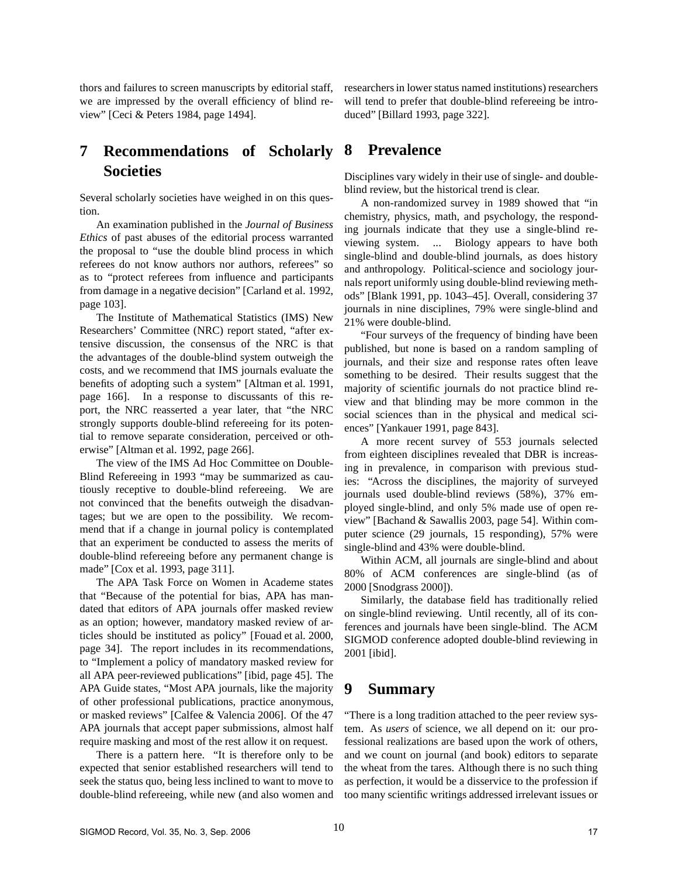thors and failures to screen manuscripts by editorial staff, we are impressed by the overall efficiency of blind review" [Ceci & Peters 1984, page 1494].

# **7 Recommendations of Scholarly Societies**

Several scholarly societies have weighed in on this question.

An examination published in the *Journal of Business Ethics* of past abuses of the editorial process warranted the proposal to "use the double blind process in which referees do not know authors nor authors, referees" so as to "protect referees from influence and participants from damage in a negative decision" [Carland et al. 1992, page 103].

The Institute of Mathematical Statistics (IMS) New Researchers' Committee (NRC) report stated, "after extensive discussion, the consensus of the NRC is that the advantages of the double-blind system outweigh the costs, and we recommend that IMS journals evaluate the benefits of adopting such a system" [Altman et al. 1991, page 166]. In a response to discussants of this report, the NRC reasserted a year later, that "the NRC strongly supports double-blind refereeing for its potential to remove separate consideration, perceived or otherwise" [Altman et al. 1992, page 266].

The view of the IMS Ad Hoc Committee on Double-Blind Refereeing in 1993 "may be summarized as cautiously receptive to double-blind refereeing. We are not convinced that the benefits outweigh the disadvantages; but we are open to the possibility. We recommend that if a change in journal policy is contemplated that an experiment be conducted to assess the merits of double-blind refereeing before any permanent change is made" [Cox et al. 1993, page 311].

The APA Task Force on Women in Academe states that "Because of the potential for bias, APA has mandated that editors of APA journals offer masked review as an option; however, mandatory masked review of articles should be instituted as policy" [Fouad et al. 2000, page 34]. The report includes in its recommendations, to "Implement a policy of mandatory masked review for all APA peer-reviewed publications" [ibid, page 45]. The APA Guide states, "Most APA journals, like the majority of other professional publications, practice anonymous, or masked reviews" [Calfee & Valencia 2006]. Of the 47 APA journals that accept paper submissions, almost half require masking and most of the rest allow it on request.

There is a pattern here. "It is therefore only to be expected that senior established researchers will tend to seek the status quo, being less inclined to want to move to double-blind refereeing, while new (and also women and

researchers in lower status named institutions) researchers will tend to prefer that double-blind refereeing be introduced" [Billard 1993, page 322].

## **8 Prevalence**

Disciplines vary widely in their use of single- and doubleblind review, but the historical trend is clear.

A non-randomized survey in 1989 showed that "in chemistry, physics, math, and psychology, the responding journals indicate that they use a single-blind reviewing system. ... Biology appears to have both single-blind and double-blind journals, as does history and anthropology. Political-science and sociology journals report uniformly using double-blind reviewing methods" [Blank 1991, pp. 1043–45]. Overall, considering 37 journals in nine disciplines, 79% were single-blind and 21% were double-blind.

"Four surveys of the frequency of binding have been published, but none is based on a random sampling of journals, and their size and response rates often leave something to be desired. Their results suggest that the majority of scientific journals do not practice blind review and that blinding may be more common in the social sciences than in the physical and medical sciences" [Yankauer 1991, page 843].

A more recent survey of 553 journals selected from eighteen disciplines revealed that DBR is increasing in prevalence, in comparison with previous studies: "Across the disciplines, the majority of surveyed journals used double-blind reviews (58%), 37% employed single-blind, and only 5% made use of open review" [Bachand & Sawallis 2003, page 54]. Within computer science (29 journals, 15 responding), 57% were single-blind and 43% were double-blind.

Within ACM, all journals are single-blind and about 80% of ACM conferences are single-blind (as of 2000 [Snodgrass 2000]).

Similarly, the database field has traditionally relied on single-blind reviewing. Until recently, all of its conferences and journals have been single-blind. The ACM SIGMOD conference adopted double-blind reviewing in 2001 [ibid].

# **9 Summary**

"There is a long tradition attached to the peer review system. As *users* of science, we all depend on it: our professional realizations are based upon the work of others, and we count on journal (and book) editors to separate the wheat from the tares. Although there is no such thing as perfection, it would be a disservice to the profession if too many scientific writings addressed irrelevant issues or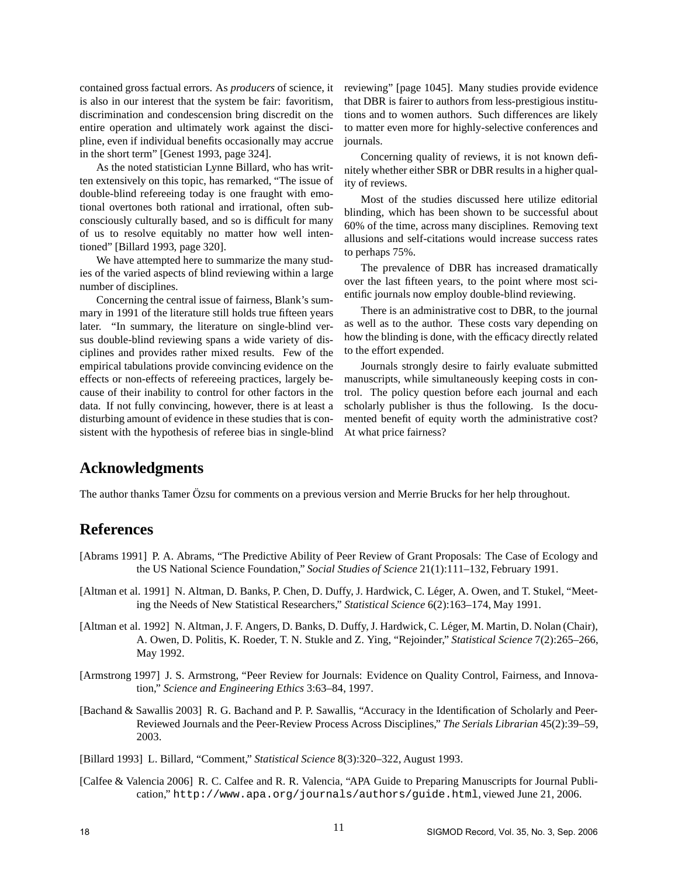contained gross factual errors. As *producers* of science, it is also in our interest that the system be fair: favoritism, discrimination and condescension bring discredit on the entire operation and ultimately work against the discipline, even if individual benefits occasionally may accrue in the short term" [Genest 1993, page 324].

As the noted statistician Lynne Billard, who has written extensively on this topic, has remarked, "The issue of double-blind refereeing today is one fraught with emotional overtones both rational and irrational, often subconsciously culturally based, and so is difficult for many of us to resolve equitably no matter how well intentioned" [Billard 1993, page 320].

We have attempted here to summarize the many studies of the varied aspects of blind reviewing within a large number of disciplines.

Concerning the central issue of fairness, Blank's summary in 1991 of the literature still holds true fifteen years later. "In summary, the literature on single-blind versus double-blind reviewing spans a wide variety of disciplines and provides rather mixed results. Few of the empirical tabulations provide convincing evidence on the effects or non-effects of refereeing practices, largely because of their inability to control for other factors in the data. If not fully convincing, however, there is at least a disturbing amount of evidence in these studies that is consistent with the hypothesis of referee bias in single-blind reviewing" [page 1045]. Many studies provide evidence that DBR is fairer to authors from less-prestigious institutions and to women authors. Such differences are likely to matter even more for highly-selective conferences and journals.

Concerning quality of reviews, it is not known definitely whether either SBR or DBR results in a higher quality of reviews.

Most of the studies discussed here utilize editorial blinding, which has been shown to be successful about 60% of the time, across many disciplines. Removing text allusions and self-citations would increase success rates to perhaps 75%.

The prevalence of DBR has increased dramatically over the last fifteen years, to the point where most scientific journals now employ double-blind reviewing.

There is an administrative cost to DBR, to the journal as well as to the author. These costs vary depending on how the blinding is done, with the efficacy directly related to the effort expended.

Journals strongly desire to fairly evaluate submitted manuscripts, while simultaneously keeping costs in control. The policy question before each journal and each scholarly publisher is thus the following. Is the documented benefit of equity worth the administrative cost? At what price fairness?

# **Acknowledgments**

The author thanks Tamer Özsu for comments on a previous version and Merrie Brucks for her help throughout.

# **References**

- [Abrams 1991] P. A. Abrams, "The Predictive Ability of Peer Review of Grant Proposals: The Case of Ecology and the US National Science Foundation," *Social Studies of Science* 21(1):111–132, February 1991.
- [Altman et al. 1991] N. Altman, D. Banks, P. Chen, D. Duffy, J. Hardwick, C. Léger, A. Owen, and T. Stukel, "Meeting the Needs of New Statistical Researchers," *Statistical Science* 6(2):163–174, May 1991.
- [Altman et al. 1992] N. Altman, J. F. Angers, D. Banks, D. Duffy, J. Hardwick, C. Léger, M. Martin, D. Nolan (Chair), A. Owen, D. Politis, K. Roeder, T. N. Stukle and Z. Ying, "Rejoinder," *Statistical Science* 7(2):265–266, May 1992.
- [Armstrong 1997] J. S. Armstrong, "Peer Review for Journals: Evidence on Quality Control, Fairness, and Innovation," *Science and Engineering Ethics* 3:63–84, 1997.
- [Bachand & Sawallis 2003] R. G. Bachand and P. P. Sawallis, "Accuracy in the Identification of Scholarly and Peer-Reviewed Journals and the Peer-Review Process Across Disciplines," *The Serials Librarian* 45(2):39–59, 2003.
- [Billard 1993] L. Billard, "Comment," *Statistical Science* 8(3):320–322, August 1993.
- [Calfee & Valencia 2006] R. C. Calfee and R. R. Valencia, "APA Guide to Preparing Manuscripts for Journal Publication," http://www.apa.org/journals/authors/guide.html, viewed June 21, 2006.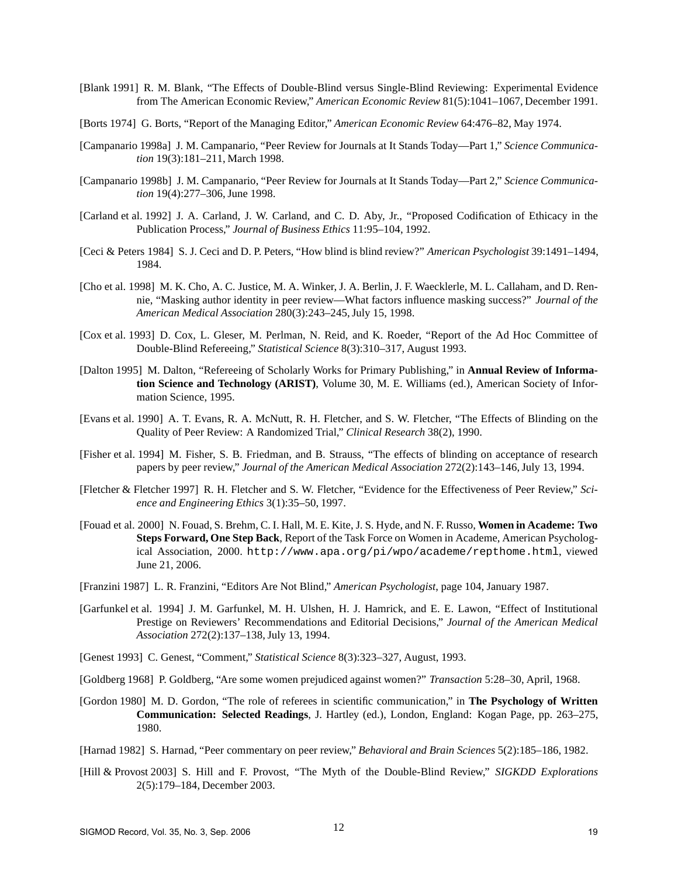- [Blank 1991] R. M. Blank, "The Effects of Double-Blind versus Single-Blind Reviewing: Experimental Evidence from The American Economic Review," *American Economic Review* 81(5):1041–1067, December 1991.
- [Borts 1974] G. Borts, "Report of the Managing Editor," *American Economic Review* 64:476–82, May 1974.
- [Campanario 1998a] J. M. Campanario, "Peer Review for Journals at It Stands Today—Part 1," *Science Communication* 19(3):181–211, March 1998.
- [Campanario 1998b] J. M. Campanario, "Peer Review for Journals at It Stands Today—Part 2," *Science Communication* 19(4):277–306, June 1998.
- [Carland et al. 1992] J. A. Carland, J. W. Carland, and C. D. Aby, Jr., "Proposed Codification of Ethicacy in the Publication Process," *Journal of Business Ethics* 11:95–104, 1992.
- [Ceci & Peters 1984] S. J. Ceci and D. P. Peters, "How blind is blind review?" *American Psychologist* 39:1491–1494, 1984.
- [Cho et al. 1998] M. K. Cho, A. C. Justice, M. A. Winker, J. A. Berlin, J. F. Waecklerle, M. L. Callaham, and D. Rennie, "Masking author identity in peer review—What factors influence masking success?" *Journal of the American Medical Association* 280(3):243–245, July 15, 1998.
- [Cox et al. 1993] D. Cox, L. Gleser, M. Perlman, N. Reid, and K. Roeder, "Report of the Ad Hoc Committee of Double-Blind Refereeing," *Statistical Science* 8(3):310–317, August 1993.
- [Dalton 1995] M. Dalton, "Refereeing of Scholarly Works for Primary Publishing," in **Annual Review of Information Science and Technology (ARIST)**, Volume 30, M. E. Williams (ed.), American Society of Information Science, 1995.
- [Evans et al. 1990] A. T. Evans, R. A. McNutt, R. H. Fletcher, and S. W. Fletcher, "The Effects of Blinding on the Quality of Peer Review: A Randomized Trial," *Clinical Research* 38(2), 1990.
- [Fisher et al. 1994] M. Fisher, S. B. Friedman, and B. Strauss, "The effects of blinding on acceptance of research papers by peer review," *Journal of the American Medical Association* 272(2):143–146, July 13, 1994.
- [Fletcher & Fletcher 1997] R. H. Fletcher and S. W. Fletcher, "Evidence for the Effectiveness of Peer Review," *Science and Engineering Ethics* 3(1):35–50, 1997.
- [Fouad et al. 2000] N. Fouad, S. Brehm, C. I. Hall, M. E. Kite, J. S. Hyde, and N. F. Russo, **Women in Academe: Two Steps Forward, One Step Back**, Report of the Task Force on Women in Academe, American Psychological Association, 2000. http://www.apa.org/pi/wpo/academe/repthome.html, viewed June 21, 2006.
- [Franzini 1987] L. R. Franzini, "Editors Are Not Blind," *American Psychologist*, page 104, January 1987.
- [Garfunkel et al. 1994] J. M. Garfunkel, M. H. Ulshen, H. J. Hamrick, and E. E. Lawon, "Effect of Institutional Prestige on Reviewers' Recommendations and Editorial Decisions," *Journal of the American Medical Association* 272(2):137–138, July 13, 1994.
- [Genest 1993] C. Genest, "Comment," *Statistical Science* 8(3):323–327, August, 1993.
- [Goldberg 1968] P. Goldberg, "Are some women prejudiced against women?" *Transaction* 5:28–30, April, 1968.
- [Gordon 1980] M. D. Gordon, "The role of referees in scientific communication," in **The Psychology of Written Communication: Selected Readings**, J. Hartley (ed.), London, England: Kogan Page, pp. 263–275, 1980.
- [Harnad 1982] S. Harnad, "Peer commentary on peer review," *Behavioral and Brain Sciences* 5(2):185–186, 1982.
- [Hill & Provost 2003] S. Hill and F. Provost, "The Myth of the Double-Blind Review," *SIGKDD Explorations* 2(5):179–184, December 2003.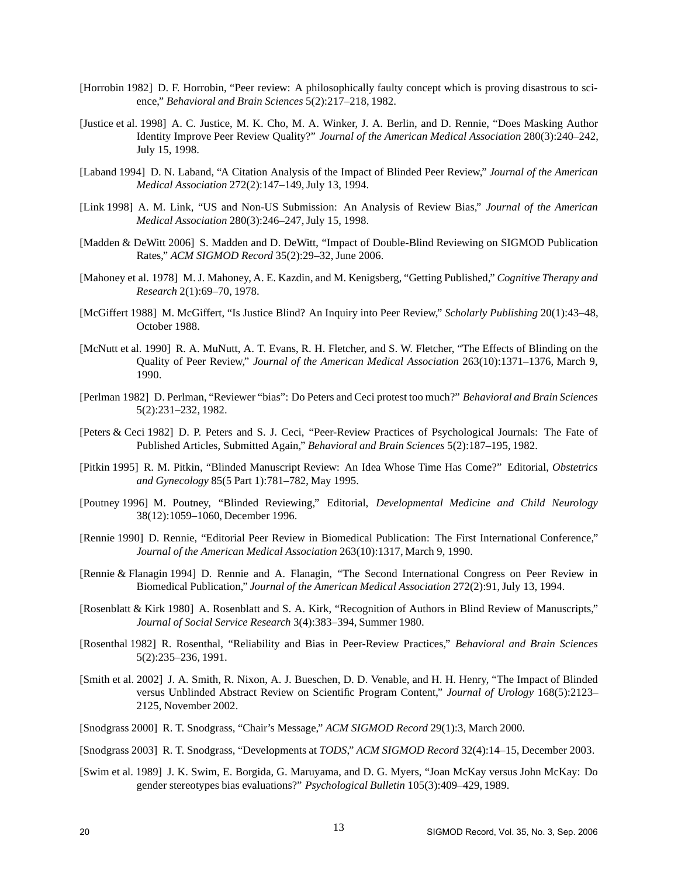- [Horrobin 1982] D. F. Horrobin, "Peer review: A philosophically faulty concept which is proving disastrous to science," *Behavioral and Brain Sciences* 5(2):217–218, 1982.
- [Justice et al. 1998] A. C. Justice, M. K. Cho, M. A. Winker, J. A. Berlin, and D. Rennie, "Does Masking Author Identity Improve Peer Review Quality?" *Journal of the American Medical Association* 280(3):240–242, July 15, 1998.
- [Laband 1994] D. N. Laband, "A Citation Analysis of the Impact of Blinded Peer Review," *Journal of the American Medical Association* 272(2):147–149, July 13, 1994.
- [Link 1998] A. M. Link, "US and Non-US Submission: An Analysis of Review Bias," *Journal of the American Medical Association* 280(3):246–247, July 15, 1998.
- [Madden & DeWitt 2006] S. Madden and D. DeWitt, "Impact of Double-Blind Reviewing on SIGMOD Publication Rates," *ACM SIGMOD Record* 35(2):29–32, June 2006.
- [Mahoney et al. 1978] M. J. Mahoney, A. E. Kazdin, and M. Kenigsberg, "Getting Published," *Cognitive Therapy and Research* 2(1):69–70, 1978.
- [McGiffert 1988] M. McGiffert, "Is Justice Blind? An Inquiry into Peer Review," *Scholarly Publishing* 20(1):43–48, October 1988.
- [McNutt et al. 1990] R. A. MuNutt, A. T. Evans, R. H. Fletcher, and S. W. Fletcher, "The Effects of Blinding on the Quality of Peer Review," *Journal of the American Medical Association* 263(10):1371–1376, March 9, 1990.
- [Perlman 1982] D. Perlman, "Reviewer "bias": Do Peters and Ceci protest too much?" *Behavioral and Brain Sciences* 5(2):231–232, 1982.
- [Peters & Ceci 1982] D. P. Peters and S. J. Ceci, "Peer-Review Practices of Psychological Journals: The Fate of Published Articles, Submitted Again," *Behavioral and Brain Sciences* 5(2):187–195, 1982.
- [Pitkin 1995] R. M. Pitkin, "Blinded Manuscript Review: An Idea Whose Time Has Come?" Editorial, *Obstetrics and Gynecology* 85(5 Part 1):781–782, May 1995.
- [Poutney 1996] M. Poutney, "Blinded Reviewing," Editorial, *Developmental Medicine and Child Neurology* 38(12):1059–1060, December 1996.
- [Rennie 1990] D. Rennie, "Editorial Peer Review in Biomedical Publication: The First International Conference," *Journal of the American Medical Association* 263(10):1317, March 9, 1990.
- [Rennie & Flanagin 1994] D. Rennie and A. Flanagin, "The Second International Congress on Peer Review in Biomedical Publication," *Journal of the American Medical Association* 272(2):91, July 13, 1994.
- [Rosenblatt & Kirk 1980] A. Rosenblatt and S. A. Kirk, "Recognition of Authors in Blind Review of Manuscripts," *Journal of Social Service Research* 3(4):383–394, Summer 1980.
- [Rosenthal 1982] R. Rosenthal, "Reliability and Bias in Peer-Review Practices," *Behavioral and Brain Sciences* 5(2):235–236, 1991.
- [Smith et al. 2002] J. A. Smith, R. Nixon, A. J. Bueschen, D. D. Venable, and H. H. Henry, "The Impact of Blinded versus Unblinded Abstract Review on Scientific Program Content," *Journal of Urology* 168(5):2123– 2125, November 2002.
- [Snodgrass 2000] R. T. Snodgrass, "Chair's Message," *ACM SIGMOD Record* 29(1):3, March 2000.
- [Snodgrass 2003] R. T. Snodgrass, "Developments at *TODS*," *ACM SIGMOD Record* 32(4):14–15, December 2003.
- [Swim et al. 1989] J. K. Swim, E. Borgida, G. Maruyama, and D. G. Myers, "Joan McKay versus John McKay: Do gender stereotypes bias evaluations?" *Psychological Bulletin* 105(3):409–429, 1989.

13